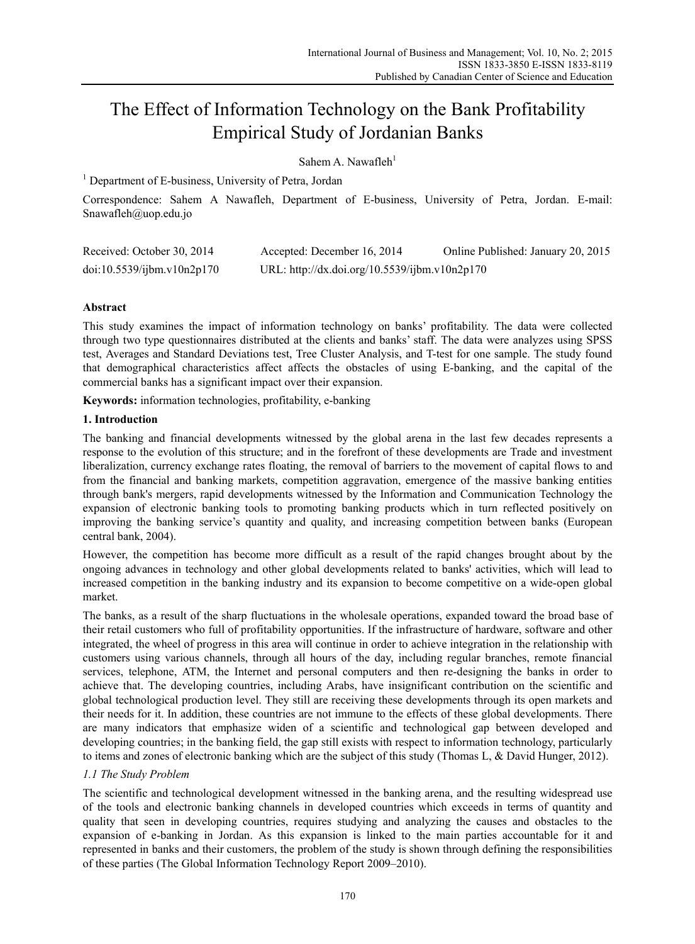# The Effect of Information Technology on the Bank Profitability Empirical Study of Jordanian Banks

Sahem A. Nawafleh $1$ 

<sup>1</sup> Department of E-business, University of Petra, Jordan

Correspondence: Sahem A Nawafleh, Department of E-business, University of Petra, Jordan. E-mail: Snawafleh@uop.edu.jo

| Received: October 30, 2014 | Accepted: December 16, 2014                   | Online Published: January 20, 2015 |
|----------------------------|-----------------------------------------------|------------------------------------|
| doi:10.5539/ijbm.v10n2p170 | URL: http://dx.doi.org/10.5539/ijbm.v10n2p170 |                                    |

## **Abstract**

This study examines the impact of information technology on banks' profitability. The data were collected through two type questionnaires distributed at the clients and banks' staff. The data were analyzes using SPSS test, Averages and Standard Deviations test, Tree Cluster Analysis, and T-test for one sample. The study found that demographical characteristics affect affects the obstacles of using E-banking, and the capital of the commercial banks has a significant impact over their expansion.

**Keywords:** information technologies, profitability, e-banking

## **1. Introduction**

The banking and financial developments witnessed by the global arena in the last few decades represents a response to the evolution of this structure; and in the forefront of these developments are Trade and investment liberalization, currency exchange rates floating, the removal of barriers to the movement of capital flows to and from the financial and banking markets, competition aggravation, emergence of the massive banking entities through bank's mergers, rapid developments witnessed by the Information and Communication Technology the expansion of electronic banking tools to promoting banking products which in turn reflected positively on improving the banking service's quantity and quality, and increasing competition between banks (European central bank, 2004).

However, the competition has become more difficult as a result of the rapid changes brought about by the ongoing advances in technology and other global developments related to banks' activities, which will lead to increased competition in the banking industry and its expansion to become competitive on a wide-open global market.

The banks, as a result of the sharp fluctuations in the wholesale operations, expanded toward the broad base of their retail customers who full of profitability opportunities. If the infrastructure of hardware, software and other integrated, the wheel of progress in this area will continue in order to achieve integration in the relationship with customers using various channels, through all hours of the day, including regular branches, remote financial services, telephone, ATM, the Internet and personal computers and then re-designing the banks in order to achieve that. The developing countries, including Arabs, have insignificant contribution on the scientific and global technological production level. They still are receiving these developments through its open markets and their needs for it. In addition, these countries are not immune to the effects of these global developments. There are many indicators that emphasize widen of a scientific and technological gap between developed and developing countries; in the banking field, the gap still exists with respect to information technology, particularly to items and zones of electronic banking which are the subject of this study (Thomas L, & David Hunger, 2012).

# *1.1 The Study Problem*

The scientific and technological development witnessed in the banking arena, and the resulting widespread use of the tools and electronic banking channels in developed countries which exceeds in terms of quantity and quality that seen in developing countries, requires studying and analyzing the causes and obstacles to the expansion of e-banking in Jordan. As this expansion is linked to the main parties accountable for it and represented in banks and their customers, the problem of the study is shown through defining the responsibilities of these parties (The Global Information Technology Report 2009–2010).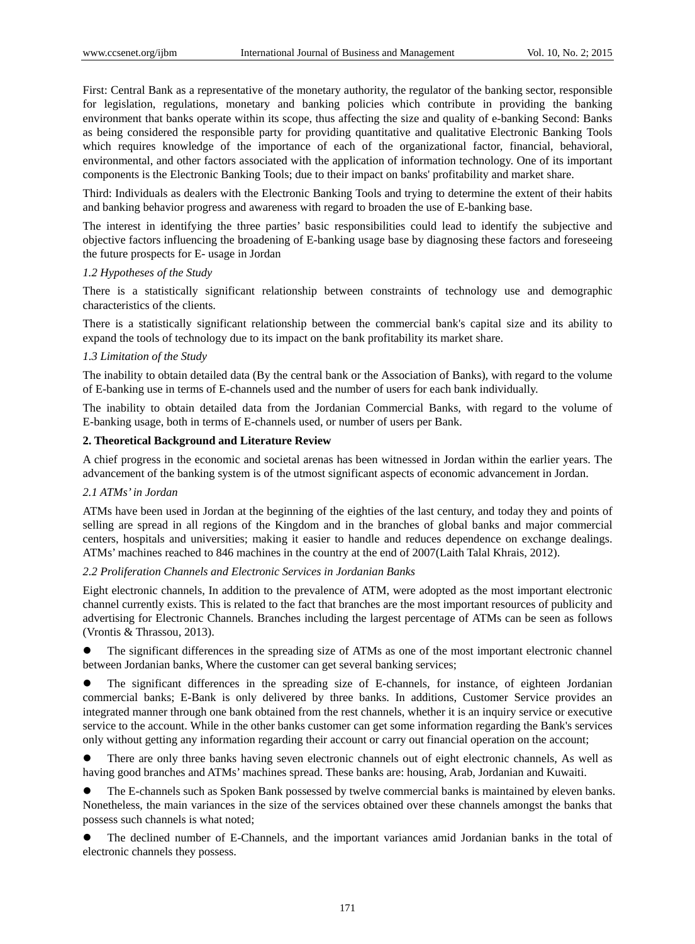First: Central Bank as a representative of the monetary authority, the regulator of the banking sector, responsible for legislation, regulations, monetary and banking policies which contribute in providing the banking environment that banks operate within its scope, thus affecting the size and quality of e-banking Second: Banks as being considered the responsible party for providing quantitative and qualitative Electronic Banking Tools which requires knowledge of the importance of each of the organizational factor, financial, behavioral, environmental, and other factors associated with the application of information technology. One of its important components is the Electronic Banking Tools; due to their impact on banks' profitability and market share.

Third: Individuals as dealers with the Electronic Banking Tools and trying to determine the extent of their habits and banking behavior progress and awareness with regard to broaden the use of E-banking base.

The interest in identifying the three parties' basic responsibilities could lead to identify the subjective and objective factors influencing the broadening of E-banking usage base by diagnosing these factors and foreseeing the future prospects for E- usage in Jordan

#### *1.2 Hypotheses of the Study*

There is a statistically significant relationship between constraints of technology use and demographic characteristics of the clients.

There is a statistically significant relationship between the commercial bank's capital size and its ability to expand the tools of technology due to its impact on the bank profitability its market share.

#### *1.3 Limitation of the Study*

The inability to obtain detailed data (By the central bank or the Association of Banks), with regard to the volume of E-banking use in terms of E-channels used and the number of users for each bank individually.

The inability to obtain detailed data from the Jordanian Commercial Banks, with regard to the volume of E-banking usage, both in terms of E-channels used, or number of users per Bank.

#### **2. Theoretical Background and Literature Review**

A chief progress in the economic and societal arenas has been witnessed in Jordan within the earlier years. The advancement of the banking system is of the utmost significant aspects of economic advancement in Jordan.

#### *2.1 ATMs' in Jordan*

ATMs have been used in Jordan at the beginning of the eighties of the last century, and today they and points of selling are spread in all regions of the Kingdom and in the branches of global banks and major commercial centers, hospitals and universities; making it easier to handle and reduces dependence on exchange dealings. ATMs' machines reached to 846 machines in the country at the end of 2007(Laith Talal Khrais, 2012).

#### *2.2 Proliferation Channels and Electronic Services in Jordanian Banks*

Eight electronic channels, In addition to the prevalence of ATM, were adopted as the most important electronic channel currently exists. This is related to the fact that branches are the most important resources of publicity and advertising for Electronic Channels. Branches including the largest percentage of ATMs can be seen as follows (Vrontis & Thrassou, 2013).

 The significant differences in the spreading size of ATMs as one of the most important electronic channel between Jordanian banks, Where the customer can get several banking services;

 The significant differences in the spreading size of E-channels, for instance, of eighteen Jordanian commercial banks; E-Bank is only delivered by three banks. In additions, Customer Service provides an integrated manner through one bank obtained from the rest channels, whether it is an inquiry service or executive service to the account. While in the other banks customer can get some information regarding the Bank's services only without getting any information regarding their account or carry out financial operation on the account;

 There are only three banks having seven electronic channels out of eight electronic channels, As well as having good branches and ATMs' machines spread. These banks are: housing, Arab, Jordanian and Kuwaiti.

 The E-channels such as Spoken Bank possessed by twelve commercial banks is maintained by eleven banks. Nonetheless, the main variances in the size of the services obtained over these channels amongst the banks that possess such channels is what noted;

 The declined number of E-Channels, and the important variances amid Jordanian banks in the total of electronic channels they possess.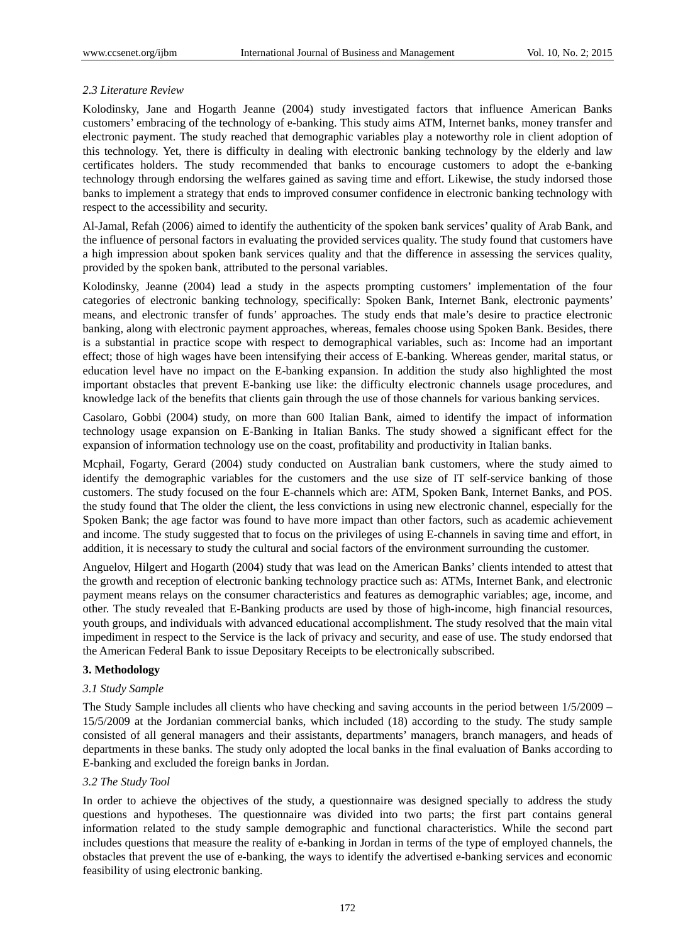## *2.3 Literature Review*

Kolodinsky, Jane and Hogarth Jeanne (2004) study investigated factors that influence American Banks customers' embracing of the technology of e-banking. This study aims ATM, Internet banks, money transfer and electronic payment. The study reached that demographic variables play a noteworthy role in client adoption of this technology. Yet, there is difficulty in dealing with electronic banking technology by the elderly and law certificates holders. The study recommended that banks to encourage customers to adopt the e-banking technology through endorsing the welfares gained as saving time and effort. Likewise, the study indorsed those banks to implement a strategy that ends to improved consumer confidence in electronic banking technology with respect to the accessibility and security.

Al-Jamal, Refah (2006) aimed to identify the authenticity of the spoken bank services' quality of Arab Bank, and the influence of personal factors in evaluating the provided services quality. The study found that customers have a high impression about spoken bank services quality and that the difference in assessing the services quality, provided by the spoken bank, attributed to the personal variables.

Kolodinsky, Jeanne (2004) lead a study in the aspects prompting customers' implementation of the four categories of electronic banking technology, specifically: Spoken Bank, Internet Bank, electronic payments' means, and electronic transfer of funds' approaches. The study ends that male's desire to practice electronic banking, along with electronic payment approaches, whereas, females choose using Spoken Bank. Besides, there is a substantial in practice scope with respect to demographical variables, such as: Income had an important effect; those of high wages have been intensifying their access of E-banking. Whereas gender, marital status, or education level have no impact on the E-banking expansion. In addition the study also highlighted the most important obstacles that prevent E-banking use like: the difficulty electronic channels usage procedures, and knowledge lack of the benefits that clients gain through the use of those channels for various banking services.

Casolaro, Gobbi (2004) study, on more than 600 Italian Bank, aimed to identify the impact of information technology usage expansion on E-Banking in Italian Banks. The study showed a significant effect for the expansion of information technology use on the coast, profitability and productivity in Italian banks.

Mcphail, Fogarty, Gerard (2004) study conducted on Australian bank customers, where the study aimed to identify the demographic variables for the customers and the use size of IT self-service banking of those customers. The study focused on the four E-channels which are: ATM, Spoken Bank, Internet Banks, and POS. the study found that The older the client, the less convictions in using new electronic channel, especially for the Spoken Bank; the age factor was found to have more impact than other factors, such as academic achievement and income. The study suggested that to focus on the privileges of using E-channels in saving time and effort, in addition, it is necessary to study the cultural and social factors of the environment surrounding the customer.

Anguelov, Hilgert and Hogarth (2004) study that was lead on the American Banks' clients intended to attest that the growth and reception of electronic banking technology practice such as: ATMs, Internet Bank, and electronic payment means relays on the consumer characteristics and features as demographic variables; age, income, and other. The study revealed that E-Banking products are used by those of high-income, high financial resources, youth groups, and individuals with advanced educational accomplishment. The study resolved that the main vital impediment in respect to the Service is the lack of privacy and security, and ease of use. The study endorsed that the American Federal Bank to issue Depositary Receipts to be electronically subscribed.

## **3. Methodology**

## *3.1 Study Sample*

The Study Sample includes all clients who have checking and saving accounts in the period between 1/5/2009 – 15/5/2009 at the Jordanian commercial banks, which included (18) according to the study. The study sample consisted of all general managers and their assistants, departments' managers, branch managers, and heads of departments in these banks. The study only adopted the local banks in the final evaluation of Banks according to E-banking and excluded the foreign banks in Jordan.

## *3.2 The Study Tool*

In order to achieve the objectives of the study, a questionnaire was designed specially to address the study questions and hypotheses. The questionnaire was divided into two parts; the first part contains general information related to the study sample demographic and functional characteristics. While the second part includes questions that measure the reality of e-banking in Jordan in terms of the type of employed channels, the obstacles that prevent the use of e-banking, the ways to identify the advertised e-banking services and economic feasibility of using electronic banking.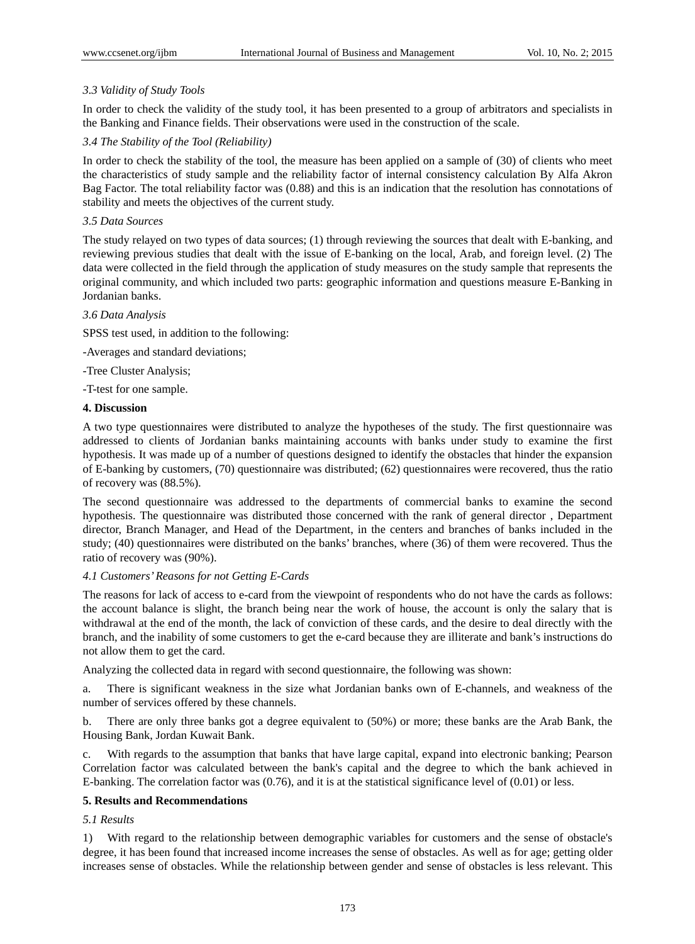## *3.3 Validity of Study Tools*

In order to check the validity of the study tool, it has been presented to a group of arbitrators and specialists in the Banking and Finance fields. Their observations were used in the construction of the scale.

## *3.4 The Stability of the Tool (Reliability)*

In order to check the stability of the tool, the measure has been applied on a sample of (30) of clients who meet the characteristics of study sample and the reliability factor of internal consistency calculation By Alfa Akron Bag Factor. The total reliability factor was (0.88) and this is an indication that the resolution has connotations of stability and meets the objectives of the current study.

#### *3.5 Data Sources*

The study relayed on two types of data sources; (1) through reviewing the sources that dealt with E-banking, and reviewing previous studies that dealt with the issue of E-banking on the local, Arab, and foreign level. (2) The data were collected in the field through the application of study measures on the study sample that represents the original community, and which included two parts: geographic information and questions measure E-Banking in Jordanian banks.

#### *3.6 Data Analysis*

SPSS test used, in addition to the following:

-Averages and standard deviations;

-Tree Cluster Analysis;

-T-test for one sample.

#### **4. Discussion**

A two type questionnaires were distributed to analyze the hypotheses of the study. The first questionnaire was addressed to clients of Jordanian banks maintaining accounts with banks under study to examine the first hypothesis. It was made up of a number of questions designed to identify the obstacles that hinder the expansion of E-banking by customers, (70) questionnaire was distributed; (62) questionnaires were recovered, thus the ratio of recovery was (88.5%).

The second questionnaire was addressed to the departments of commercial banks to examine the second hypothesis. The questionnaire was distributed those concerned with the rank of general director , Department director, Branch Manager, and Head of the Department, in the centers and branches of banks included in the study; (40) questionnaires were distributed on the banks' branches, where (36) of them were recovered. Thus the ratio of recovery was (90%).

## *4.1 Customers' Reasons for not Getting E-Cards*

The reasons for lack of access to e-card from the viewpoint of respondents who do not have the cards as follows: the account balance is slight, the branch being near the work of house, the account is only the salary that is withdrawal at the end of the month, the lack of conviction of these cards, and the desire to deal directly with the branch, and the inability of some customers to get the e-card because they are illiterate and bank's instructions do not allow them to get the card.

Analyzing the collected data in regard with second questionnaire, the following was shown:

a. There is significant weakness in the size what Jordanian banks own of E-channels, and weakness of the number of services offered by these channels.

b. There are only three banks got a degree equivalent to (50%) or more; these banks are the Arab Bank, the Housing Bank, Jordan Kuwait Bank.

c. With regards to the assumption that banks that have large capital, expand into electronic banking; Pearson Correlation factor was calculated between the bank's capital and the degree to which the bank achieved in E-banking. The correlation factor was (0.76), and it is at the statistical significance level of (0.01) or less.

## **5. Results and Recommendations**

## *5.1 Results*

1) With regard to the relationship between demographic variables for customers and the sense of obstacle's degree, it has been found that increased income increases the sense of obstacles. As well as for age; getting older increases sense of obstacles. While the relationship between gender and sense of obstacles is less relevant. This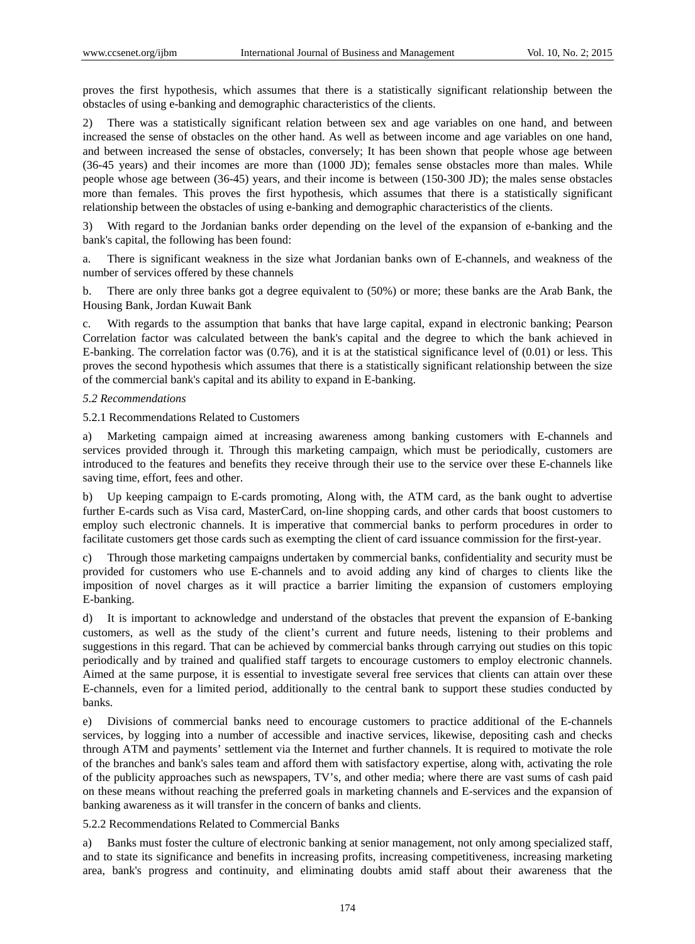proves the first hypothesis, which assumes that there is a statistically significant relationship between the obstacles of using e-banking and demographic characteristics of the clients.

2) There was a statistically significant relation between sex and age variables on one hand, and between increased the sense of obstacles on the other hand. As well as between income and age variables on one hand, and between increased the sense of obstacles, conversely; It has been shown that people whose age between (36-45 years) and their incomes are more than (1000 JD); females sense obstacles more than males. While people whose age between (36-45) years, and their income is between (150-300 JD); the males sense obstacles more than females. This proves the first hypothesis, which assumes that there is a statistically significant relationship between the obstacles of using e-banking and demographic characteristics of the clients.

3) With regard to the Jordanian banks order depending on the level of the expansion of e-banking and the bank's capital, the following has been found:

a. There is significant weakness in the size what Jordanian banks own of E-channels, and weakness of the number of services offered by these channels

b. There are only three banks got a degree equivalent to (50%) or more; these banks are the Arab Bank, the Housing Bank, Jordan Kuwait Bank

c. With regards to the assumption that banks that have large capital, expand in electronic banking; Pearson Correlation factor was calculated between the bank's capital and the degree to which the bank achieved in E-banking. The correlation factor was (0.76), and it is at the statistical significance level of (0.01) or less. This proves the second hypothesis which assumes that there is a statistically significant relationship between the size of the commercial bank's capital and its ability to expand in E-banking.

#### *5.2 Recommendations*

5.2.1 Recommendations Related to Customers

a) Marketing campaign aimed at increasing awareness among banking customers with E-channels and services provided through it. Through this marketing campaign, which must be periodically, customers are introduced to the features and benefits they receive through their use to the service over these E-channels like saving time, effort, fees and other.

b) Up keeping campaign to E-cards promoting, Along with, the ATM card, as the bank ought to advertise further E-cards such as Visa card, MasterCard, on-line shopping cards, and other cards that boost customers to employ such electronic channels. It is imperative that commercial banks to perform procedures in order to facilitate customers get those cards such as exempting the client of card issuance commission for the first-year.

c) Through those marketing campaigns undertaken by commercial banks, confidentiality and security must be provided for customers who use E-channels and to avoid adding any kind of charges to clients like the imposition of novel charges as it will practice a barrier limiting the expansion of customers employing E-banking.

d) It is important to acknowledge and understand of the obstacles that prevent the expansion of E-banking customers, as well as the study of the client's current and future needs, listening to their problems and suggestions in this regard. That can be achieved by commercial banks through carrying out studies on this topic periodically and by trained and qualified staff targets to encourage customers to employ electronic channels. Aimed at the same purpose, it is essential to investigate several free services that clients can attain over these E-channels, even for a limited period, additionally to the central bank to support these studies conducted by banks.

e) Divisions of commercial banks need to encourage customers to practice additional of the E-channels services, by logging into a number of accessible and inactive services, likewise, depositing cash and checks through ATM and payments' settlement via the Internet and further channels. It is required to motivate the role of the branches and bank's sales team and afford them with satisfactory expertise, along with, activating the role of the publicity approaches such as newspapers, TV's, and other media; where there are vast sums of cash paid on these means without reaching the preferred goals in marketing channels and E-services and the expansion of banking awareness as it will transfer in the concern of banks and clients.

5.2.2 Recommendations Related to Commercial Banks

a) Banks must foster the culture of electronic banking at senior management, not only among specialized staff, and to state its significance and benefits in increasing profits, increasing competitiveness, increasing marketing area, bank's progress and continuity, and eliminating doubts amid staff about their awareness that the